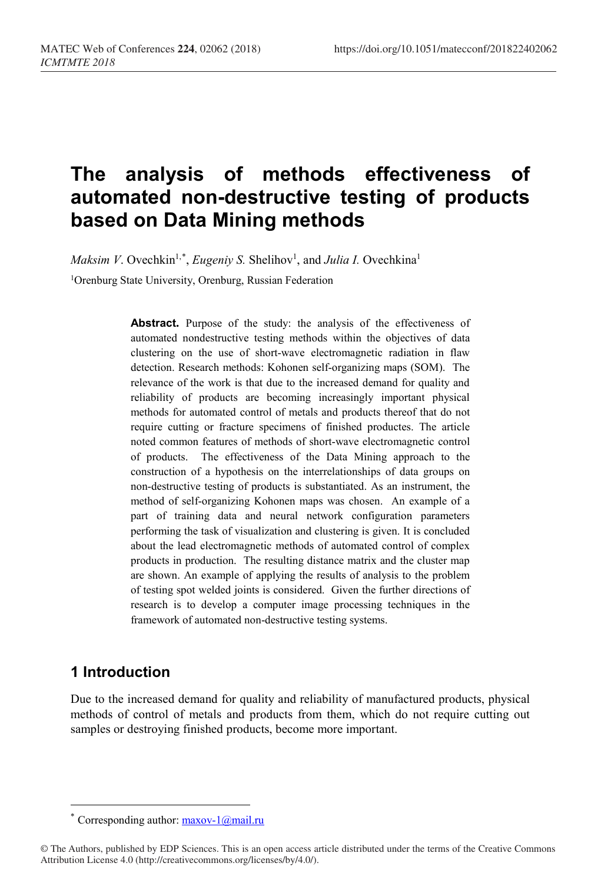# **The analysis of methods effectiveness of automated non-destructive testing of products based on Data Mining methods**

*Maksim V.* Ovechkin<sup>1,[\\*](#page-0-0)</sup>, *Eugeniy S.* Shelihov<sup>1</sup>, and *Julia I.* Ovechkina<sup>1</sup>

1Orenburg State University, Orenburg, Russian Federation

**Abstract.** Purpose of the study: the analysis of the effectiveness of automated nondestructive testing methods within the objectives of data clustering on the use of short-wave electromagnetic radiation in flaw detection. Research methods: Kohonen self-organizing maps (SOM). The relevance of the work is that due to the increased demand for quality and reliability of products are becoming increasingly important physical methods for automated control of metals and products thereof that do not require cutting or fracture specimens of finished productes. The article noted common features of methods of short-wave electromagnetic control of products. The effectiveness of the Data Mining approach to the construction of a hypothesis on the interrelationships of data groups on non-destructive testing of products is substantiated. As an instrument, the method of self-organizing Kohonen maps was chosen. An example of a part of training data and neural network configuration parameters performing the task of visualization and clustering is given. It is concluded about the lead electromagnetic methods of automated control of complex products in production. The resulting distance matrix and the cluster map are shown. An example of applying the results of analysis to the problem of testing spot welded joints is considered. Given the further directions of research is to develop a computer image processing techniques in the framework of automated non-destructive testing systems.

## **1 Introduction**

 $\overline{a}$ 

Due to the increased demand for quality and reliability of manufactured products, physical methods of control of metals and products from them, which do not require cutting out samples or destroying finished products, become more important.

<sup>\*</sup> Corresponding author:  $maxov-1@mail.ru$ 

<span id="page-0-0"></span><sup>©</sup> The Authors, published by EDP Sciences. This is an open access article distributed under the terms of the Creative Commons Attribution License 4.0 (http://creativecommons.org/licenses/by/4.0/).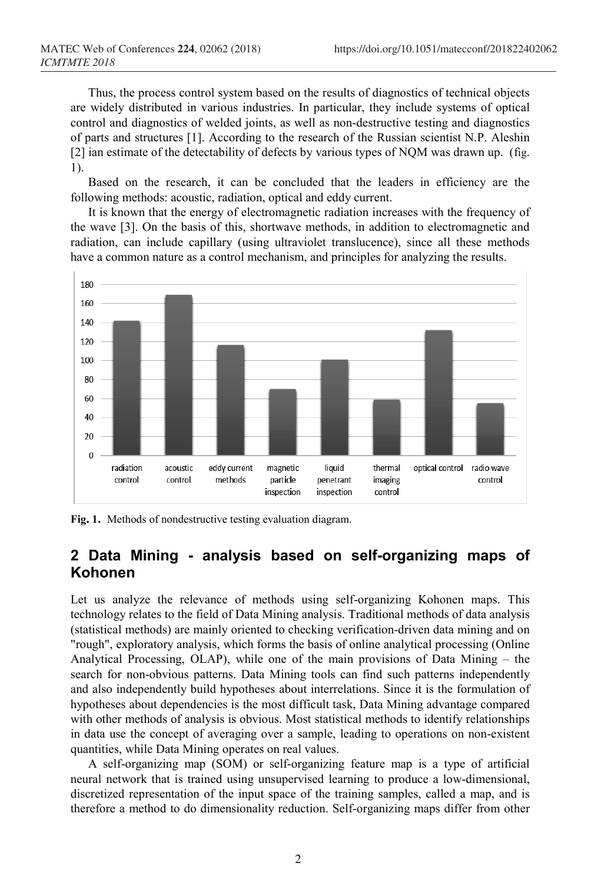Thus, the process control system based on the results of diagnostics of technical objects are widely distributed in various industries. In particular, they include systems of optical control and diagnostics of welded joints, as well as non-destructive testing and diagnostics of parts and structures [1]. According to the research of the Russian scientist N.P. Aleshin [2] ian estimate of the detectability of defects by various types of NQM was drawn up. (fig. 1).

Based on the research, it can be concluded that the leaders in efficiency are the following methods: acoustic, radiation, optical and eddy current.

It is known that the energy of electromagnetic radiation increases with the frequency of the wave [3]. On the basis of this, shortwave methods, in addition to electromagnetic and radiation, can include capillary (using ultraviolet translucence), since all these methods have a common nature as a control mechanism, and principles for analyzing the results.



**Fig. 1.** Methods of nondestructive testing evaluation diagram.

### **2 Data Mining - analysis based on self-organizing maps of Kohonen**

Let us analyze the relevance of methods using self-organizing Kohonen maps. This technology relates to the field of Data Mining analysis. Traditional methods of data analysis (statistical methods) are mainly oriented to checking verification-driven data mining and on "rough", exploratory analysis, which forms the basis of online analytical processing (Online Analytical Processing, OLAP), while one of the main provisions of Data Mining – the search for non-obvious patterns. Data Mining tools can find such patterns independently and also independently build hypotheses about interrelations. Since it is the formulation of hypotheses about dependencies is the most difficult task, Data Mining advantage compared with other methods of analysis is obvious. Most statistical methods to identify relationships in data use the concept of averaging over a sample, leading to operations on non-existent quantities, while Data Mining operates on real values.

A self-organizing map (SOM) or self-organizing feature map is a type of artificial neural network that is trained using unsupervised learning to produce a low-dimensional, discretized representation of the input space of the training samples, called a map, and is therefore a method to do dimensionality reduction. Self-organizing maps differ from other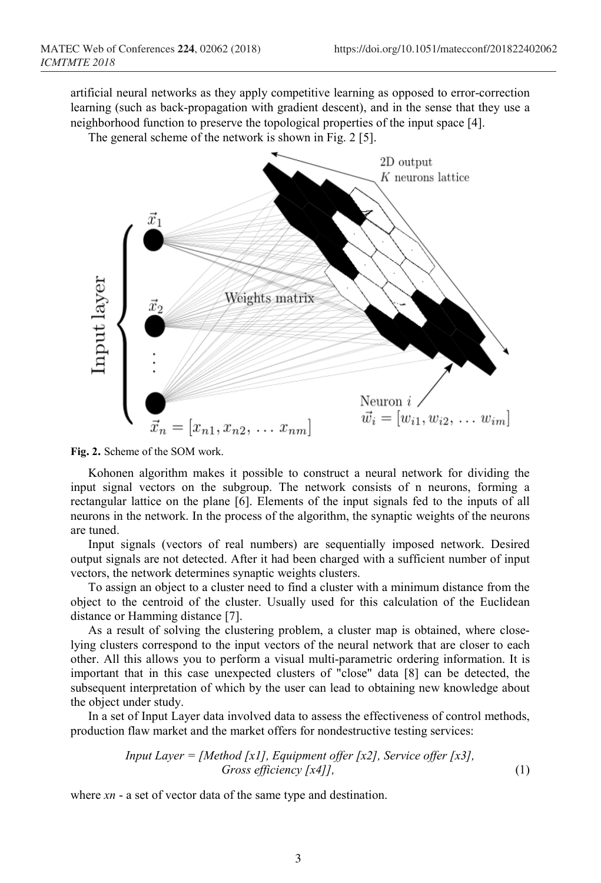artificial neural networks as they apply competitive learning as opposed to error-correction learning (such as back-propagation with gradient descent), and in the sense that they use a neighborhood function to preserve the topological properties of the input space [4].

The general scheme of the network is shown in Fig. 2 [5].



**Fig. 2.** Scheme of the SOM work.

Kohonen algorithm makes it possible to construct a neural network for dividing the input signal vectors on the subgroup. The network consists of n neurons, forming a rectangular lattice on the plane [6]. Elements of the input signals fed to the inputs of all neurons in the network. In the process of the algorithm, the synaptic weights of the neurons are tuned.

Input signals (vectors of real numbers) are sequentially imposed network. Desired output signals are not detected. After it had been charged with a sufficient number of input vectors, the network determines synaptic weights clusters.

To assign an object to a cluster need to find a cluster with a minimum distance from the object to the centroid of the cluster. Usually used for this calculation of the Euclidean distance or Hamming distance [7].

As a result of solving the clustering problem, a cluster map is obtained, where closelying clusters correspond to the input vectors of the neural network that are closer to each other. All this allows you to perform a visual multi-parametric ordering information. It is important that in this case unexpected clusters of "close" data [8] can be detected, the subsequent interpretation of which by the user can lead to obtaining new knowledge about the object under study.

In a set of Input Layer data involved data to assess the effectiveness of control methods, production flaw market and the market offers for nondestructive testing services:

*Input Layer = [Method [x1], Equipment offer [x2], Service offer [x3], Gross efficiency [x4]],* (1)

where *xn* - a set of vector data of the same type and destination.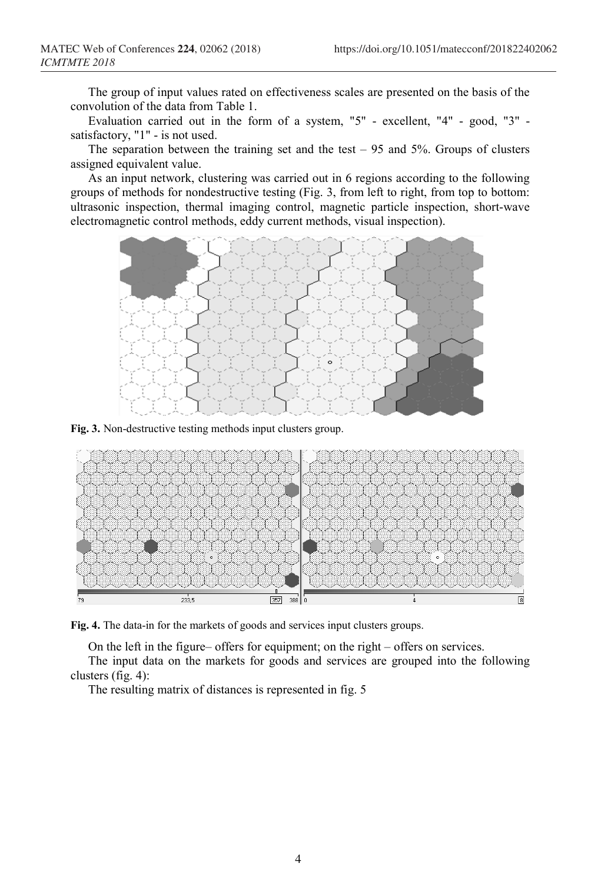The group of input values rated on effectiveness scales are presented on the basis of the convolution of the data from Table 1.

Evaluation carried out in the form of a system, "5" - excellent, "4" - good, "3" satisfactory, "1" - is not used.

The separation between the training set and the test  $-95$  and  $5\%$ . Groups of clusters assigned equivalent value.

As an input network, clustering was carried out in 6 regions according to the following groups of methods for nondestructive testing (Fig. 3, from left to right, from top to bottom: ultrasonic inspection, thermal imaging control, magnetic particle inspection, short-wave electromagnetic control methods, eddy current methods, visual inspection).



**Fig. 3.** Non-destructive testing methods input clusters group.



**Fig. 4.** The data-in for the markets of goods and services input clusters groups.

On the left in the figure– offers for equipment; on the right – offers on services.

The input data on the markets for goods and services are grouped into the following clusters (fig. 4):

The resulting matrix of distances is represented in fig. 5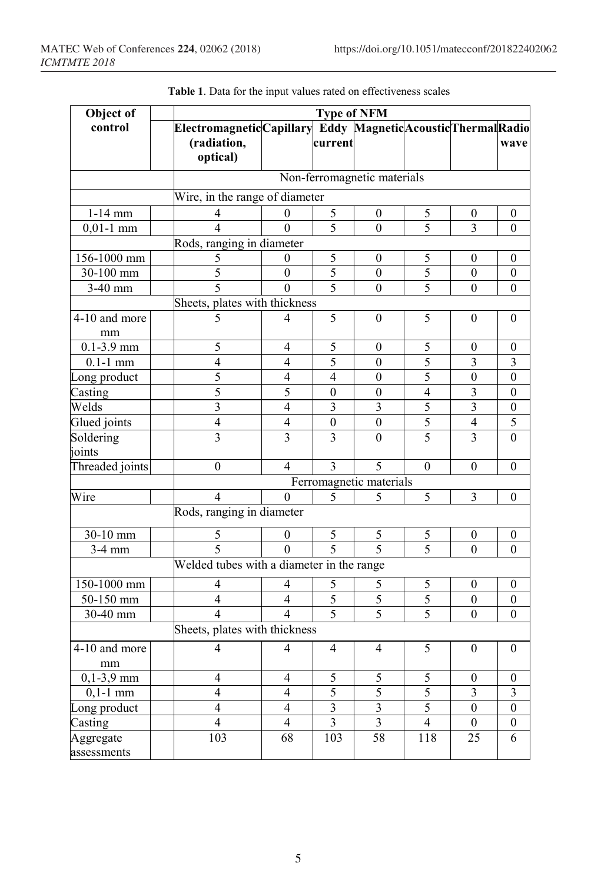| Object of            |                                                            | <b>Type of NFM</b>          |                  |                         |                  |                         |                  |  |
|----------------------|------------------------------------------------------------|-----------------------------|------------------|-------------------------|------------------|-------------------------|------------------|--|
| control              | ElectromagneticCapillary Eddy MagneticAcousticThermalRadio |                             |                  |                         |                  |                         |                  |  |
|                      | (radiation,                                                |                             | current          |                         |                  |                         | wave             |  |
|                      | optical)                                                   |                             |                  |                         |                  |                         |                  |  |
|                      |                                                            | Non-ferromagnetic materials |                  |                         |                  |                         |                  |  |
|                      | Wire, in the range of diameter                             |                             |                  |                         |                  |                         |                  |  |
| $1-14$ mm            | 4                                                          | $\boldsymbol{0}$            | 5                | $\boldsymbol{0}$        | 5                | $\boldsymbol{0}$        | $\boldsymbol{0}$ |  |
| $0,01-1$ mm          | 4                                                          | $\theta$                    | $\overline{5}$   | $\theta$                | $\overline{5}$   | 3                       | $\theta$         |  |
|                      |                                                            | Rods, ranging in diameter   |                  |                         |                  |                         |                  |  |
| 156-1000 mm          | 5                                                          | $\overline{0}$              | 5                | $\boldsymbol{0}$        | 5                | $\theta$                | $\boldsymbol{0}$ |  |
| 30-100 mm            | 5                                                          | $\boldsymbol{0}$            | 5                | $\boldsymbol{0}$        | 5                | $\boldsymbol{0}$        | $\boldsymbol{0}$ |  |
| $\overline{3-40}$ mm | 5                                                          | $\theta$                    | $\overline{5}$   | $\boldsymbol{0}$        | 5                | $\theta$                | $\theta$         |  |
|                      | Sheets, plates with thickness                              |                             |                  |                         |                  |                         |                  |  |
| 4-10 and more        | 5                                                          | 4                           | 5                | $\boldsymbol{0}$        | 5                | $\theta$                | $\mathbf{0}$     |  |
| mm                   |                                                            |                             |                  |                         |                  |                         |                  |  |
| $0.1 - 3.9$ mm       | 5                                                          | 4                           | 5                | $\theta$                | 5                | $\theta$                | $\boldsymbol{0}$ |  |
| $0.1 - 1$ mm         | $\overline{4}$                                             | $\overline{4}$              | 5                | $\boldsymbol{0}$        | 5                | 3                       | 3                |  |
| Long product         | 5                                                          | $\overline{4}$              | $\overline{4}$   | $\boldsymbol{0}$        | 5                | $\boldsymbol{0}$        | $\boldsymbol{0}$ |  |
| Casting              | 5                                                          | 5                           | $\theta$         | $\boldsymbol{0}$        | $\overline{4}$   | 3                       | $\boldsymbol{0}$ |  |
| Welds                | $\overline{\mathbf{3}}$                                    | $\overline{4}$              | 3                | 3                       | 5                | $\overline{\mathbf{3}}$ | $\boldsymbol{0}$ |  |
| Glued joints         | $\overline{4}$                                             | $\overline{4}$              | $\boldsymbol{0}$ | $\boldsymbol{0}$        | 5                | $\overline{4}$          | 5                |  |
| Soldering            | 3                                                          | 3                           | 3                | $\theta$                | 5                | $\overline{3}$          | $\theta$         |  |
| joints               |                                                            |                             |                  |                         |                  |                         |                  |  |
| Threaded joints      | $\theta$                                                   | $\overline{4}$              | 3                | 5                       | $\boldsymbol{0}$ | $\theta$                | $\theta$         |  |
|                      |                                                            | Ferromagnetic materials     |                  |                         |                  |                         |                  |  |
| Wire                 | 4                                                          | $\theta$                    | 5                | 5                       | 5                | 3                       | $\theta$         |  |
|                      | Rods, ranging in diameter                                  |                             |                  |                         |                  |                         |                  |  |
| 30-10 mm             | 5                                                          | $\theta$                    | 5                | 5                       | 5                | $\boldsymbol{0}$        | $\boldsymbol{0}$ |  |
| $3-4$ mm             | 5                                                          | $\Omega$                    | $\overline{5}$   | $\overline{5}$          | $\overline{5}$   | $\theta$                | $\boldsymbol{0}$ |  |
|                      | Welded tubes with a diameter in the range                  |                             |                  |                         |                  |                         |                  |  |
| 150-1000 mm          | 4                                                          | 4                           | 5                | 5                       | 5                | $\boldsymbol{0}$        | $\boldsymbol{0}$ |  |
| 50-150 mm            | $\overline{4}$                                             | $\overline{4}$              | 5                | 5                       | 5                | $\theta$                | 0                |  |
| 30-40 mm             | $\overline{4}$                                             | $\overline{4}$              | 5                | 5                       | 5                | $\theta$                | 0                |  |
|                      | Sheets, plates with thickness                              |                             |                  |                         |                  |                         |                  |  |
| 4-10 and more        | 4                                                          | 4                           | 4                | $\overline{4}$          | 5                | $\boldsymbol{0}$        | $\boldsymbol{0}$ |  |
| mm                   |                                                            |                             |                  |                         |                  |                         |                  |  |
| $0,1-3,9$ mm         | $\overline{4}$                                             | $\overline{4}$              | 5                | 5                       | 5                | $\boldsymbol{0}$        | $\theta$         |  |
| $0,1-1$ mm           | $\overline{4}$                                             | $\overline{4}$              | 5                | 5                       | 5                | $\overline{\mathbf{3}}$ | 3                |  |
| Long product         | $\overline{4}$                                             | $\overline{4}$              | 3                | $\overline{\mathbf{3}}$ | 5                | $\boldsymbol{0}$        | $\boldsymbol{0}$ |  |
| Casting              | $\overline{4}$                                             | $\overline{4}$              | 3                | $\overline{3}$          | $\overline{4}$   | $\boldsymbol{0}$        | $\boldsymbol{0}$ |  |
| Aggregate            | 103                                                        | 68                          | 103              | 58                      | 118              | 25                      | 6                |  |
| assessments          |                                                            |                             |                  |                         |                  |                         |                  |  |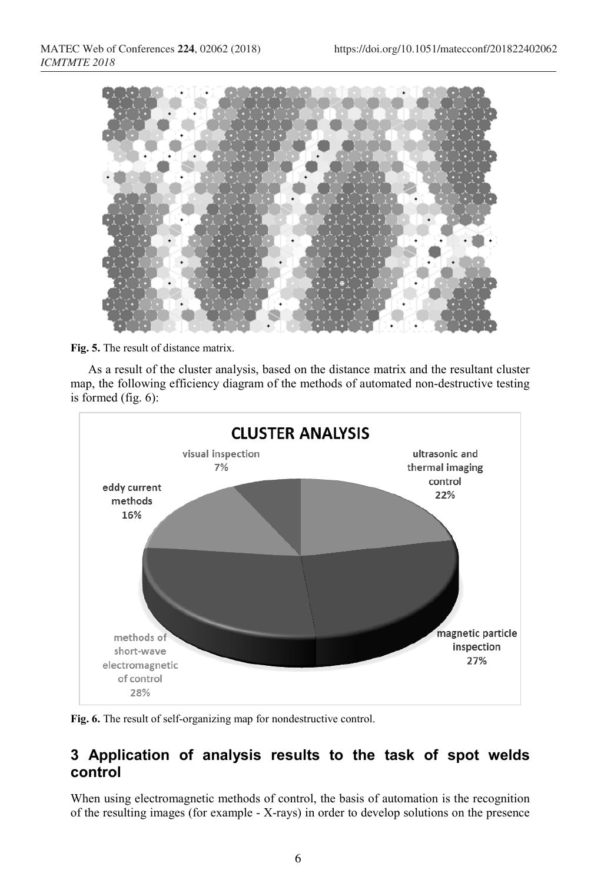

**Fig. 5.** The result of distance matrix.

As a result of the cluster analysis, based on the distance matrix and the resultant cluster map, the following efficiency diagram of the methods of automated non-destructive testing is formed (fig. 6):



**Fig. 6.** The result of self-organizing map for nondestructive control.

## **3 Application of analysis results to the task of spot welds control**

When using electromagnetic methods of control, the basis of automation is the recognition of the resulting images (for example - X-rays) in order to develop solutions on the presence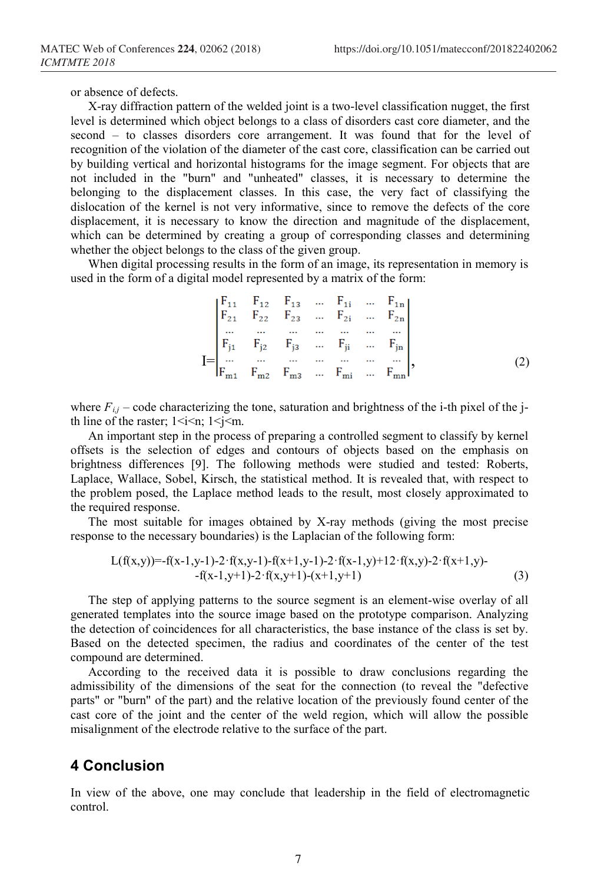or absence of defects.

X-ray diffraction pattern of the welded joint is a two-level classification nugget, the first level is determined which object belongs to a class of disorders cast core diameter, and the second – to classes disorders core arrangement. It was found that for the level of recognition of the violation of the diameter of the cast core, classification can be carried out by building vertical and horizontal histograms for the image segment. For objects that are not included in the "burn" and "unheated" classes, it is necessary to determine the belonging to the displacement classes. In this case, the very fact of classifying the dislocation of the kernel is not very informative, since to remove the defects of the core displacement, it is necessary to know the direction and magnitude of the displacement, which can be determined by creating a group of corresponding classes and determining whether the object belongs to the class of the given group.

When digital processing results in the form of an image, its representation in memory is used in the form of a digital model represented by a matrix of the form:

$$
I = \begin{bmatrix} F_{11} & F_{12} & F_{13} & \dots & F_{1i} & \dots & F_{1n} \\ F_{21} & F_{22} & F_{23} & \dots & F_{2i} & \dots & F_{2n} \\ \dots & \dots & \dots & \dots & \dots & \dots & \dots \\ F_{j1} & F_{j2} & F_{j3} & \dots & F_{ji} & \dots & F_{jn} \\ \dots & \dots & \dots & \dots & \dots & \dots & \dots \\ F_{m1} & F_{m2} & F_{m3} & \dots & F_{mi} & \dots & F_{mn} \end{bmatrix},
$$
 (2)

where  $F_{i,j}$  – code characterizing the tone, saturation and brightness of the i-th pixel of the jth line of the raster;  $1 \le i \le n$ ;  $1 \le i \le m$ .

An important step in the process of preparing a controlled segment to classify by kernel offsets is the selection of edges and contours of objects based on the emphasis on brightness differences [9]. The following methods were studied and tested: Roberts, Laplace, Wallace, Sobel, Kirsch, the statistical method. It is revealed that, with respect to the problem posed, the Laplace method leads to the result, most closely approximated to the required response.

The most suitable for images obtained by X-ray methods (giving the most precise response to the necessary boundaries) is the Laplacian of the following form:

$$
L(f(x,y)) = -f(x-1,y-1) - 2 \cdot f(x,y-1) - f(x+1,y-1) - 2 \cdot f(x-1,y) + 12 \cdot f(x,y) - 2 \cdot f(x+1,y) - f(x-1,y+1) - 2 \cdot f(x,y+1) - (x+1,y+1)
$$
\n(3)

The step of applying patterns to the source segment is an element-wise overlay of all generated templates into the source image based on the prototype comparison. Analyzing the detection of coincidences for all characteristics, the base instance of the class is set by. Based on the detected specimen, the radius and coordinates of the center of the test compound are determined.

According to the received data it is possible to draw conclusions regarding the admissibility of the dimensions of the seat for the connection (to reveal the "defective parts" or "burn" of the part) and the relative location of the previously found center of the cast core of the joint and the center of the weld region, which will allow the possible misalignment of the electrode relative to the surface of the part.

#### **4 Conclusion**

In view of the above, one may conclude that leadership in the field of electromagnetic control.